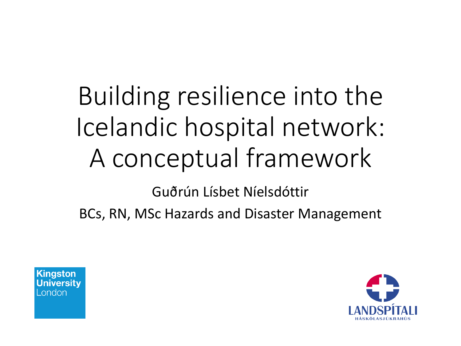## Building resilience into the Icelandic hospital network: A conceptual framework

Guðrún Lísbet Níelsdóttir

BCs, RN, MSc Hazards and Disaster Management



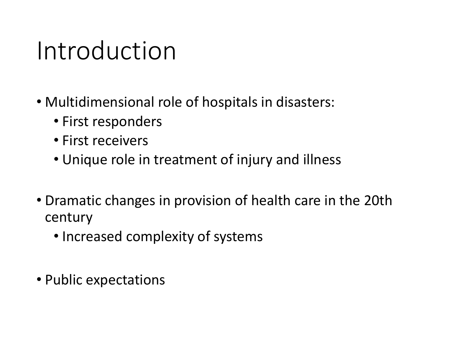### Introduction

- Multidimensional role of hospitals in disasters:
	- First responders
	- First receivers
	- Unique role in treatment of injury and illness
- Dramatic changes in provision of health care in the 20th century
	- Increased complexity of systems
- Public expectations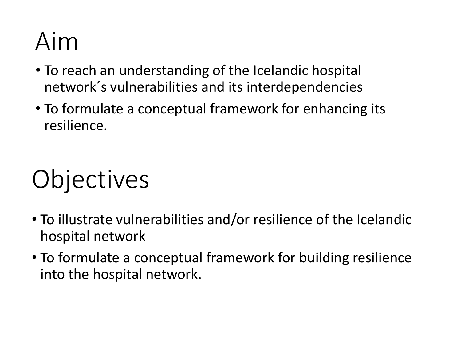## Aim

- To reach an understanding of the Icelandic hospital network´s vulnerabilities and its interdependencies
- To formulate a conceptual framework for enhancing its resilience.

# **Objectives**

- To illustrate vulnerabilities and/or resilience of the Icelandic hospital network
- To formulate a conceptual framework for building resilience into the hospital network.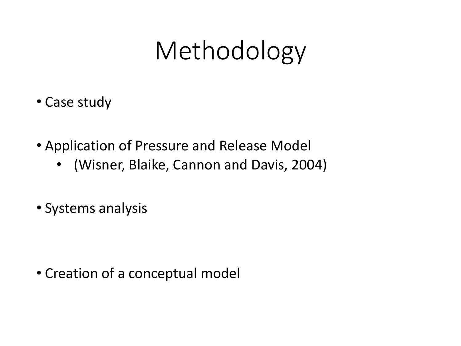## Methodology

- Case study
- Application of Pressure and Release Model
	- (Wisner, Blaike, Cannon and Davis, 2004)
- Systems analysis

• Creation of a conceptual model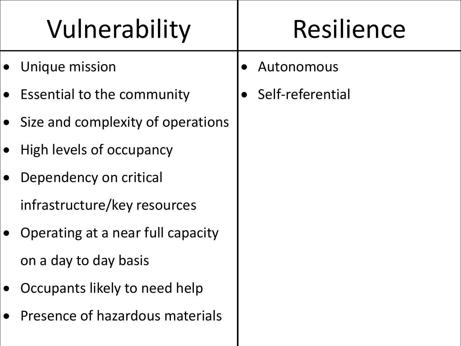# Vulnerability | Resilience

- Unique mission
- Essential to the community
- Size and complexity of operations
- High levels of occupancy
- Dependency on critical infrastructure/key resources
- Operating at a near full capacity on a day to day basis
- Occupants likely to need help
- Presence of hazardous materials
- Autonomous
- Self-referential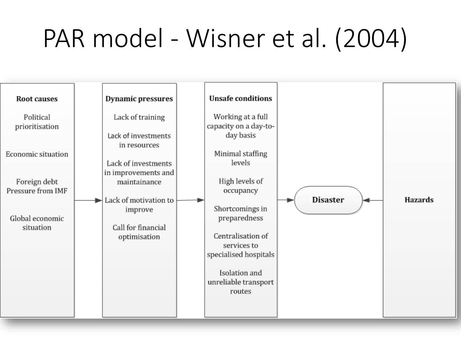## PAR model - Wisner et al. (2004)

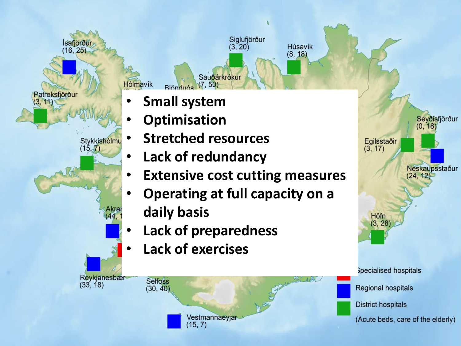Ísafjörður Hólmavík Patreksfjörður Stykkishólmu  $(15, 7)$ Akra Reykjanesbær  $(33, 18)$ 



- **Optimisation**
- **Stretched resources**

 $Rlönduós$   $(7, 50)$ 

- **Lack of redundancy**
- **Extensive cost cutting measures**

Siglufjörður

 $(3, 20)$ 

Sauðárkrókur

Húsavík

 $(8, 18)$ 

- **Operating at full capacity on a daily basis**
- **Lack of preparedness**

Vestmannaeyjar

 $(15, 7)$ 

• **Lack of exercises**

**Selfoss** 

 $(30, 40)$ 

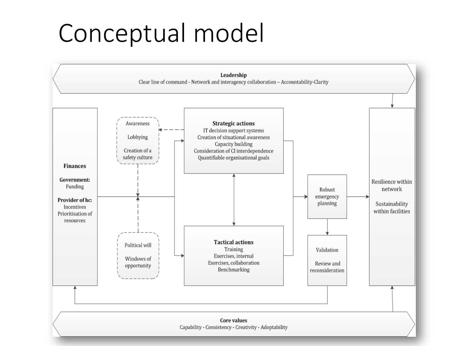### Conceptual model

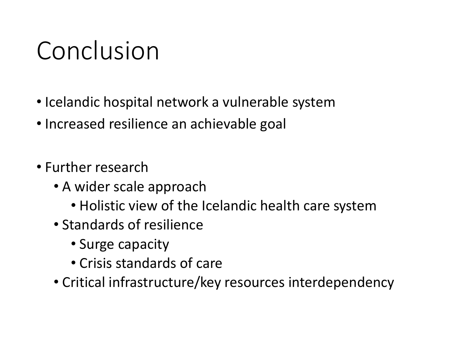## Conclusion

- Icelandic hospital network a vulnerable system
- Increased resilience an achievable goal
- Further research
	- A wider scale approach
		- Holistic view of the Icelandic health care system
	- Standards of resilience
		- Surge capacity
		- Crisis standards of care
	- Critical infrastructure/key resources interdependency